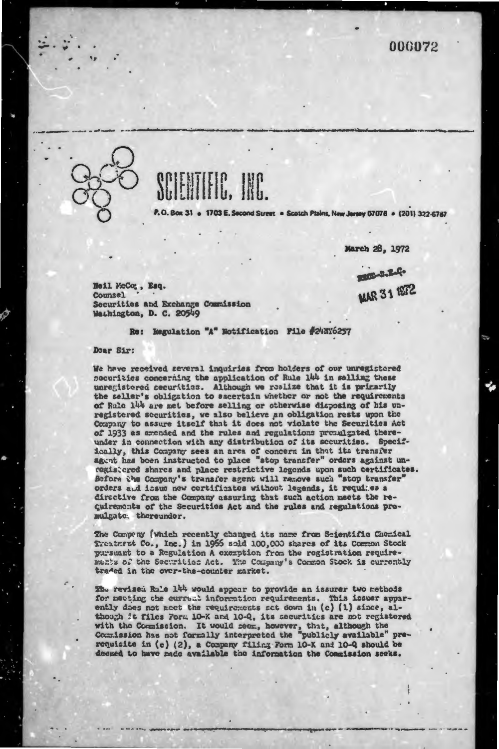

1703 E. Second Street . Scotch Plains, New Jersey 07076 . (201) 322-6767

March 26, 1972

RECEIVELY.

**MAR 31 1972** 

Heil McCo;, Esq. **Counsel** Securities and Exchange Commission Wathington, D. C. 20549

Re: Regulation "A" Notification File #24NY6257

Doar Sir:

We have received several inquiries from holders of our unregistered securities concerning the application of Rule 144 in selling these unregistored securities. Although we realize that it is primarily the seller's obligation to ascertain whether or not the requirements of Rule 144 are met before selling or otherwise disposing of his unregistered socurities, we also believe an obligation rests upon the Company to assure itself that it does not violate the Securities Act of 1933 as amended and the rules and regulations promulgated thereunder in connection with any distribution of its securities. Specifically, this Company sees an area of concern in that its transfer agent has been instructed to place "stop transfer" orders against unregistered shares and place restrictive legends upon such certificates. Before the Company's transfer agent will remove such "stop transfer" orders and issue new certificates without legends, it requires a directive from the Company assuring that such action meets the recuirements of the Securities Act and the rules and regulations promulgate, thereunder.

The Company (which recently changed its name from Scientific Chemical Treatment Co., Inc.) in 1955 sold 100,000 shares of its Common Stock pursuant to a Regulation A exemption from the registration requirements of the Securities Act. The Company's Common Stock is currently traded in the over-the-counter market.

The revised Rule 144 would appear to provide an issurer two methods for meeting the current information requirements. This issuer apparently does not meet the requirements set down in (c) (1) since, although it files Form 10-K and 10-Q, its securities are not registered with the Commission. It would seem, however, that, although the Commission has not formally interpreted the "publicly available" prerequisite in (c) (2), a Company filing Form 10-K and 10-Q should be deemed to have made available the information the Commission seeks.